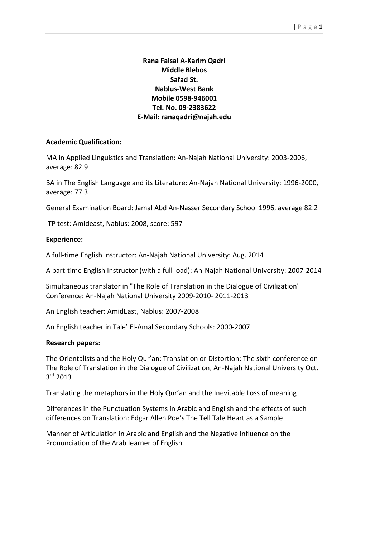# **Rana Faisal A-Karim Qadri Middle Blebos Safad St. Nablus-West Bank Mobile 0598-946001 Tel. No. 09-2383622 E-Mail: ranaqadri@najah.edu**

#### **Academic Qualification:**

MA in Applied Linguistics and Translation: An-Najah National University: 2003-2006, average: 82.9

BA in The English Language and its Literature: An-Najah National University: 1996-2000, average: 77.3

General Examination Board: Jamal Abd An-Nasser Secondary School 1996, average 82.2

ITP test: Amideast, Nablus: 2008, score: 597

#### **Experience:**

A full-time English Instructor: An-Najah National University: Aug. 2014

A part-time English Instructor (with a full load): An-Najah National University: 2007-2014

Simultaneous translator in "The Role of Translation in the Dialogue of Civilization" Conference: An-Najah National University 2009-2010- 2011-2013

An English teacher: AmidEast, Nablus: 2007-2008

An English teacher in Tale' El-Amal Secondary Schools: 2000-2007

#### **Research papers:**

The Orientalists and the Holy Qur'an: Translation or Distortion: The sixth conference on The Role of Translation in the Dialogue of Civilization, An-Najah National University Oct. 3<sup>rd</sup> 2013

Translating the metaphors in the Holy Qur'an and the Inevitable Loss of meaning

Differences in the Punctuation Systems in Arabic and English and the effects of such differences on Translation: Edgar Allen Poe's The Tell Tale Heart as a Sample

Manner of Articulation in Arabic and English and the Negative Influence on the Pronunciation of the Arab learner of English